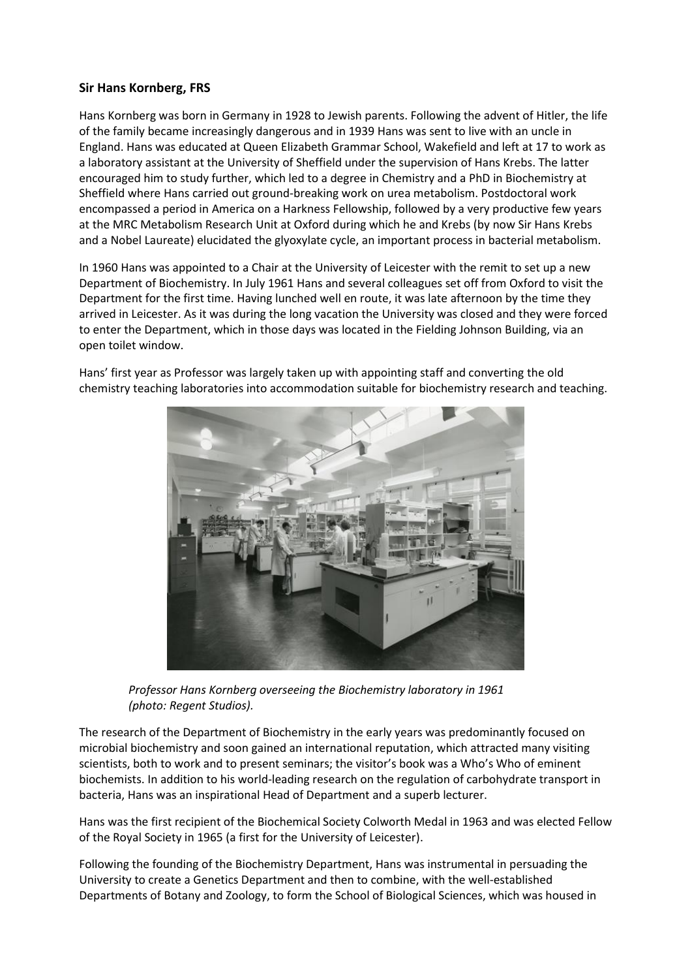## **Sir Hans Kornberg, FRS**

Hans Kornberg was born in Germany in 1928 to Jewish parents. Following the advent of Hitler, the life of the family became increasingly dangerous and in 1939 Hans was sent to live with an uncle in England. Hans was educated at Queen Elizabeth Grammar School, Wakefield and left at 17 to work as a laboratory assistant at the University of Sheffield under the supervision of Hans Krebs. The latter encouraged him to study further, which led to a degree in Chemistry and a PhD in Biochemistry at Sheffield where Hans carried out ground-breaking work on urea metabolism. Postdoctoral work encompassed a period in America on a Harkness Fellowship, followed by a very productive few years at the MRC Metabolism Research Unit at Oxford during which he and Krebs (by now Sir Hans Krebs and a Nobel Laureate) elucidated the glyoxylate cycle, an important process in bacterial metabolism.

In 1960 Hans was appointed to a Chair at the University of Leicester with the remit to set up a new Department of Biochemistry. In July 1961 Hans and several colleagues set off from Oxford to visit the Department for the first time. Having lunched well en route, it was late afternoon by the time they arrived in Leicester. As it was during the long vacation the University was closed and they were forced to enter the Department, which in those days was located in the Fielding Johnson Building, via an open toilet window.



Hans' first year as Professor was largely taken up with appointing staff and converting the old chemistry teaching laboratories into accommodation suitable for biochemistry research and teaching.

*Professor Hans Kornberg overseeing the Biochemistry laboratory in 1961 (photo: Regent Studios).*

The research of the Department of Biochemistry in the early years was predominantly focused on microbial biochemistry and soon gained an international reputation, which attracted many visiting scientists, both to work and to present seminars; the visitor's book was a Who's Who of eminent biochemists. In addition to his world-leading research on the regulation of carbohydrate transport in bacteria, Hans was an inspirational Head of Department and a superb lecturer.

Hans was the first recipient of the Biochemical Society Colworth Medal in 1963 and was elected Fellow of the Royal Society in 1965 (a first for the University of Leicester).

Following the founding of the Biochemistry Department, Hans was instrumental in persuading the University to create a Genetics Department and then to combine, with the well-established Departments of Botany and Zoology, to form the School of Biological Sciences, which was housed in